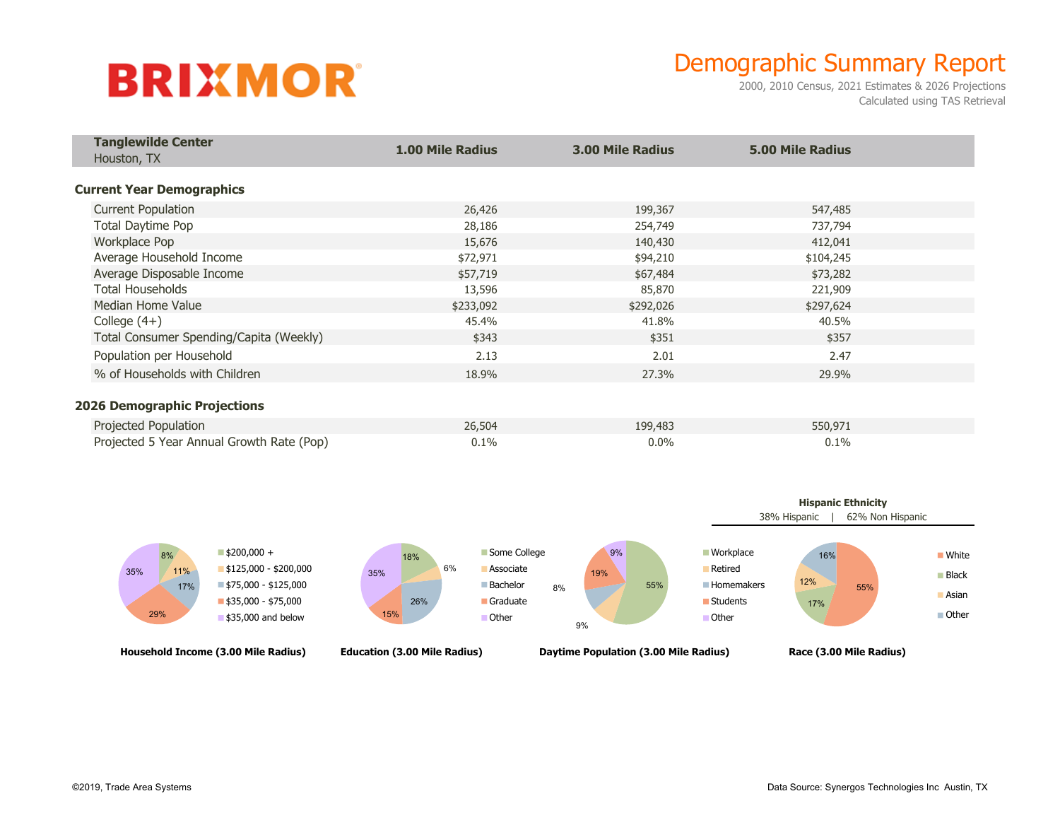## **BRIXMOR**

## Demographic Summary Report

2000, 2010 Census, 2021 Estimates & 2026 Projections Calculated using TAS Retrieval

| <b>Tanglewilde Center</b><br>Houston, TX  | <b>1.00 Mile Radius</b> | <b>3.00 Mile Radius</b> | <b>5.00 Mile Radius</b> |  |
|-------------------------------------------|-------------------------|-------------------------|-------------------------|--|
| <b>Current Year Demographics</b>          |                         |                         |                         |  |
| <b>Current Population</b>                 | 26,426                  | 199,367                 | 547,485                 |  |
| <b>Total Daytime Pop</b>                  | 28,186                  | 254,749                 | 737,794                 |  |
| Workplace Pop                             | 15,676                  | 140,430                 | 412,041                 |  |
| Average Household Income                  | \$72,971                | \$94,210                | \$104,245               |  |
| Average Disposable Income                 | \$57,719                | \$67,484                | \$73,282                |  |
| Total Households                          | 13,596                  | 85,870                  | 221,909                 |  |
| Median Home Value                         | \$233,092               | \$292,026               | \$297,624               |  |
| College $(4+)$                            | 45.4%                   | 41.8%                   | 40.5%                   |  |
| Total Consumer Spending/Capita (Weekly)   | \$343                   | \$351                   | \$357                   |  |
| Population per Household                  | 2.13                    | 2.01                    | 2.47                    |  |
| % of Households with Children             | 18.9%                   | 27.3%                   | 29.9%                   |  |
| <b>2026 Demographic Projections</b>       |                         |                         |                         |  |
| Projected Population                      | 26,504                  | 199,483                 | 550,971                 |  |
| Projected 5 Year Annual Growth Rate (Pop) | 0.1%                    | $0.0\%$                 | 0.1%                    |  |